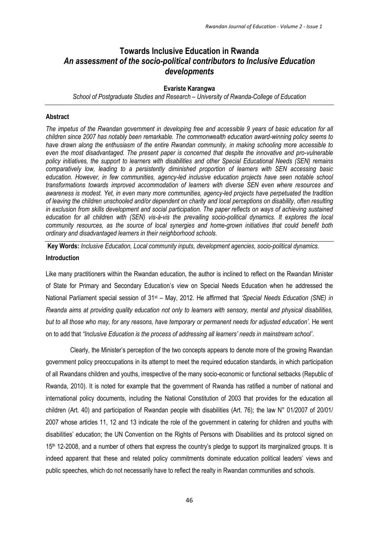# **Towards Inclusive Education in Rwanda** *An assessment of the socio-political contributors to Inclusive Education developments*

### **Evariste Karangwa**

*School of Postgraduate Studies and Research – University of Rwanda-College of Education*

# **Abstract**

*The impetus of the Rwandan government in developing free and accessible 9 years of basic education for all children since 2007 has notably been remarkable. The commonwealth education award-winning policy seems to have drawn along the enthusiasm of the entire Rwandan community, in making schooling more accessible to even the most disadvantaged. The present paper is concerned that despite the innovative and pro-vulnerable policy initiatives, the support to learners with disabilities and other Special Educational Needs (SEN) remains comparatively low, leading to a persistently diminished proportion of learners with SEN accessing basic education. However, in few communities, agency-led inclusive education projects have seen notable school transformations towards improved accommodation of learners with diverse SEN even where resources and awareness is modest. Yet, in even many more communities, agency-led projects have perpetuated the tradition of leaving the children unschooled and/or dependent on charity and local perceptions on disability, often resulting in exclusion from skills development and social participation. The paper reflects on ways of achieving sustained education for all children with (SEN) vis-à-vis the prevailing socio-political dynamics. It explores the local community resources, as the source of local synergies and home-grown initiatives that could benefit both ordinary and disadvantaged learners in their neighborhood schools.*

**Key Words:** *Inclusive Education, Local community inputs, development agencies, socio-political dynamics.* **Introduction**

Like many practitioners within the Rwandan education, the author is inclined to reflect on the Rwandan Minister of State for Primary and Secondary Education's view on Special Needs Education when he addressed the National Parliament special session of 31st – May, 2012. He affirmed that *'Special Needs Education (SNE) in Rwanda aims at providing quality education not only to learners with sensory, mental and physical disabilities, but to all those who may, for any reasons, have temporary or permanent needs for adjusted education'.* He went on to add that *"Inclusive Education is the process of addressing all learners' needs in mainstream school'*.

Clearly, the Minister's perception of the two concepts appears to denote more of the growing Rwandan government policy preoccupations in its attempt to meet the required education standards, in which participation of all Rwandans children and youths, irrespective of the many socio-economic or functional setbacks (Republic of Rwanda, 2010). It is noted for example that the government of Rwanda has ratified a number of national and international policy documents, including the National Constitution of 2003 that provides for the education all children (Art. 40) and participation of Rwandan people with disabilities (Art. 76); the law N° 01/2007 of 20/01/ 2007 whose articles 11, 12 and 13 indicate the role of the government in catering for children and youths with disabilities' education; the UN Convention on the Rights of Persons with Disabilities and its protocol signed on 15<sup>th</sup> 12-2008, and a number of others that express the country's pledge to support its marginalized groups. It is indeed apparent that these and related policy commitments dominate education political leaders' views and public speeches, which do not necessarily have to reflect the realty in Rwandan communities and schools.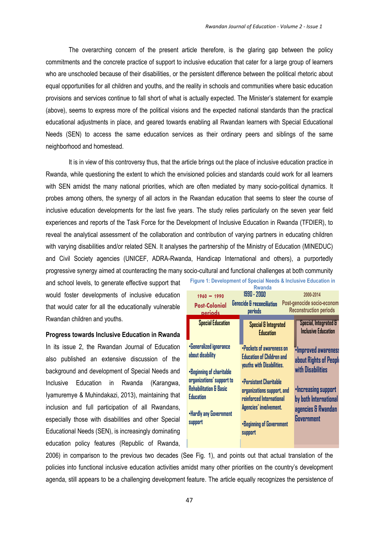The overarching concern of the present article therefore, is the glaring gap between the policy commitments and the concrete practice of support to inclusive education that cater for a large group of learners who are unschooled because of their disabilities, or the persistent difference between the political rhetoric about equal opportunities for all children and youths, and the reality in schools and communities where basic education provisions and services continue to fall short of what is actually expected. The Minister's statement for example (above), seems to express more of the political visions and the expected national standards than the practical educational adjustments in place, and geared towards enabling all Rwandan learners with Special Educational Needs (SEN) to access the same education services as their ordinary peers and siblings of the same neighborhood and homestead.

It is in view of this controversy thus, that the article brings out the place of inclusive education practice in Rwanda, while questioning the extent to which the envisioned policies and standards could work for all learners with SEN amidst the many national priorities, which are often mediated by many socio-political dynamics. It probes among others, the synergy of all actors in the Rwandan education that seems to steer the course of inclusive education developments for the last five years. The study relies particularly on the seven year field experiences and reports of the Task Force for the Development of Inclusive Education in Rwanda (TFDIER), to reveal the analytical assessment of the collaboration and contribution of varying partners in educating children with varying disabilities and/or related SEN. It analyses the partnership of the Ministry of Education (MINEDUC) and Civil Society agencies (UNICEF, ADRA-Rwanda, Handicap International and others), a purportedly progressive synergy aimed at counteracting the many socio-cultural and functional challenges at both community

and school levels, to generate effective support that would foster developments of inclusive education that would cater for all the educationally vulnerable Rwandan children and youths.

# **Progress towards Inclusive Education in Rwanda**

In its issue 2, the Rwandan Journal of Education also published an extensive discussion of the background and development of Special Needs and Inclusive Education in Rwanda (Karangwa, Iyamuremye & Muhindakazi, 2013), maintaining that inclusion and full participation of all Rwandans, especially those with disabilities and other Special Educational Needs (SEN), is increasingly dominating education policy features (Republic of Rwanda,

| Figure 1: Development of Special Needs & Inclusive Education in<br><b>Rwanda</b>                                                                                                                       |                                                                                                                                                                                                                                                |                                                                                                                                                        |
|--------------------------------------------------------------------------------------------------------------------------------------------------------------------------------------------------------|------------------------------------------------------------------------------------------------------------------------------------------------------------------------------------------------------------------------------------------------|--------------------------------------------------------------------------------------------------------------------------------------------------------|
| 1990 - 2000<br>2000-2014<br>$1960 - 1990$<br><b>Genocide &amp; reconciliation</b><br>Post-genocide socio-economi<br><b>Post-Colonial</b><br><b>Reconstruction periods</b><br>periods<br><b>periods</b> |                                                                                                                                                                                                                                                |                                                                                                                                                        |
| <b>Special Education</b>                                                                                                                                                                               | <b>Special &amp; Integrated</b><br><b>Education</b>                                                                                                                                                                                            | Special, Integrated &<br><b>Inclusive Education</b>                                                                                                    |
| •Generalized ignorance<br>about disability<br>•Beginning of charitable<br>organizations' support to<br><b>Rehabilitation &amp; Basic</b><br><b>Education</b><br>. Hardly any Government<br>support     | •Pockets of awareness on<br><b>Education of Children and</b><br>youths with Disabilities.<br>•Persistent Charitable<br>organizations support, and<br>reinforced International<br>Agencies' involvement.<br>•Beginning of Government<br>support | ·Improved awareness<br>about Rights of People<br>with Disabilities<br>•Increasing support<br>by both International<br>agencies & Rwandan<br>Government |

2006) in comparison to the previous two decades (See Fig. 1), and points out that actual translation of the policies into functional inclusive education activities amidst many other priorities on the country's development agenda, still appears to be a challenging development feature. The article equally recognizes the persistence of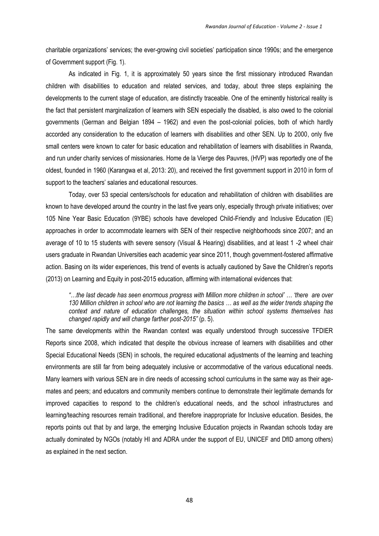charitable organizations' services; the ever-growing civil societies' participation since 1990s; and the emergence of Government support (Fig. 1).

As indicated in Fig. 1, it is approximately 50 years since the first missionary introduced Rwandan children with disabilities to education and related services, and today, about three steps explaining the developments to the current stage of education, are distinctly traceable. One of the eminently historical reality is the fact that persistent marginalization of learners with SEN especially the disabled, is also owed to the colonial governments (German and Belgian 1894 – 1962) and even the post-colonial policies, both of which hardly accorded any consideration to the education of learners with disabilities and other SEN. Up to 2000, only five small centers were known to cater for basic education and rehabilitation of learners with disabilities in Rwanda, and run under charity services of missionaries. Home de la Vierge des Pauvres, (HVP) was reportedly one of the oldest, founded in 1960 (Karangwa et al, 2013: 20), and received the first government support in 2010 in form of support to the teachers' salaries and educational resources.

Today, over 53 special centers/schools for education and rehabilitation of children with disabilities are known to have developed around the country in the last five years only, especially through private initiatives; over 105 Nine Year Basic Education (9YBE) schools have developed Child-Friendly and Inclusive Education (IE) approaches in order to accommodate learners with SEN of their respective neighborhoods since 2007; and an average of 10 to 15 students with severe sensory (Visual & Hearing) disabilities, and at least 1 -2 wheel chair users graduate in Rwandan Universities each academic year since 2011, though government-fostered affirmative action. Basing on its wider experiences, this trend of events is actually cautioned by Save the Children's reports (2013) on Learning and Equity in post-2015 education, affirming with international evidences that:

*"…the last decade has seen enormous progress with Million more children in school' … 'there are over 130 Million children in school who are not learning the basics … as well as the wider trends shaping the context and nature of education challenges, the situation within school systems themselves has changed rapidly and will change farther post-2015"* (p. 5).

The same developments within the Rwandan context was equally understood through successive TFDIER Reports since 2008, which indicated that despite the obvious increase of learners with disabilities and other Special Educational Needs (SEN) in schools, the required educational adjustments of the learning and teaching environments are still far from being adequately inclusive or accommodative of the various educational needs. Many learners with various SEN are in dire needs of accessing school curriculums in the same way as their agemates and peers; and educators and community members continue to demonstrate their legitimate demands for improved capacities to respond to the children's educational needs, and the school infrastructures and learning/teaching resources remain traditional, and therefore inappropriate for Inclusive education. Besides, the reports points out that by and large, the emerging Inclusive Education projects in Rwandan schools today are actually dominated by NGOs (notably HI and ADRA under the support of EU, UNICEF and DfID among others) as explained in the next section.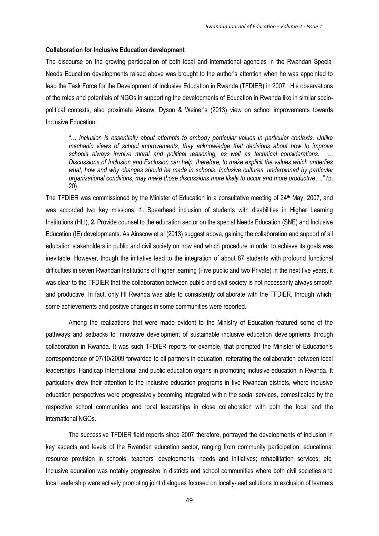#### **Collaboration for Inclusive Education development**

The discourse on the growing participation of both local and international agencies in the Rwandan Special Needs Education developments raised above was brought to the author's attention when he was appointed to lead the Task Force for the Development of Inclusive Education in Rwanda (TFDIER) in 2007. His observations of the roles and potentials of NGOs in supporting the developments of Education in Rwanda like in similar sociopolitical contexts, also proximate Ainsow, Dyson & Weiner's (2013) view on school improvements towards Inclusive Education:

*"… Inclusion is essentially about attempts to embody particular values in particular contexts. Unlike mechanic views of school improvements, they acknowledge that decisions about how to improve schools always involve moral and political reasoning, as well as technical considerations. … Discussions of Inclusion and Exclusion can help, therefore, to make explicit the values which underlies*  what, how and why changes should be made in schools. Inclusive cultures, underpinned by particular *organizational conditions, may make those discussions more likely to occur and more productive…." (*p. 20).

The TFDIER was commissioned by the Minister of Education in a consultative meeting of 24<sup>th</sup> May, 2007, and was accorded two key missions: **1.** Spearhead inclusion of students with disabilities in Higher Learning Institutions (HLI), **2.** Provide counsel to the education sector on the special Needs Education (SNE) and Inclusive Education (IE) developments. As Ainscow et al (2013) suggest above, gaining the collaboration and support of all education stakeholders in public and civil society on how and which procedure in order to achieve its goals was inevitable. However, though the initiative lead to the integration of about 87 students with profound functional difficulties in seven Rwandan Institutions of Higher learning (Five public and two Private) in the next five years, it was clear to the TFDIER that the collaboration between public and civil society is not necessarily always smooth and productive. In fact, only HI Rwanda was able to consistently collaborate with the TFDIER, through which, some achievements and positive changes in some communities were reported.

Among the realizations that were made evident to the Ministry of Education featured some of the pathways and setbacks to innovative development of sustainable inclusive education developments through collaboration in Rwanda. It was such TFDIER reports for example, that prompted the Minister of Education's correspondence of 07/10/2009 forwarded to all partners in education, reiterating the collaboration between local leaderships, Handicap International and public education organs in promoting inclusive education in Rwanda. It particularly drew their attention to the inclusive education programs in five Rwandan districts, where inclusive education perspectives were progressively becoming integrated within the social services, domesticated by the respective school communities and local leaderships in close collaboration with both the local and the international NGOs.

The successive TFDIER field reports since 2007 therefore, portrayed the developments of inclusion in key aspects and levels of the Rwandan education sector, ranging from community participation; educational resource provision in schools; teachers' developments, needs and initiatives; rehabilitation services; etc. Inclusive education was notably progressive in districts and school communities where both civil societies and local leadership were actively promoting joint dialogues focused on locally-lead solutions to exclusion of learners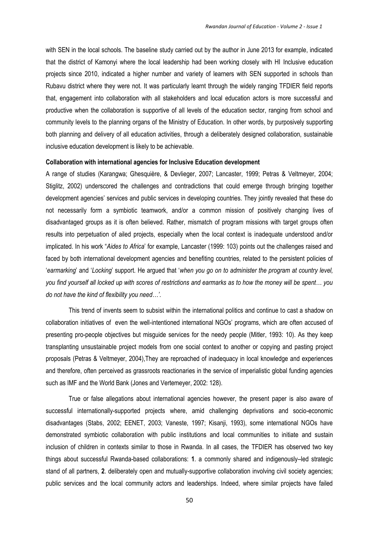with SEN in the local schools. The baseline study carried out by the author in June 2013 for example, indicated that the district of Kamonyi where the local leadership had been working closely with HI Inclusive education projects since 2010, indicated a higher number and variety of learners with SEN supported in schools than Rubavu district where they were not. It was particularly learnt through the widely ranging TFDIER field reports that, engagement into collaboration with all stakeholders and local education actors is more successful and productive when the collaboration is supportive of all levels of the education sector, ranging from school and community levels to the planning organs of the Ministry of Education. In other words, by purposively supporting both planning and delivery of all education activities, through a deliberately designed collaboration, sustainable inclusive education development is likely to be achievable.

#### **Collaboration with international agencies for Inclusive Education development**

A range of studies (Karangwa; Ghesquière, & Devlieger, 2007; Lancaster, 1999; Petras & Veltmeyer, 2004; Stiglitz, 2002) underscored the challenges and contradictions that could emerge through bringing together development agencies' services and public services in developing countries. They jointly revealed that these do not necessarily form a symbiotic teamwork, and/or a common mission of positively changing lives of disadvantaged groups as it is often believed. Rather, mismatch of program missions with target groups often results into perpetuation of ailed projects, especially when the local context is inadequate understood and/or implicated. In his work "*Aides to Africa*' for example, Lancaster (1999: 103) points out the challenges raised and faced by both international development agencies and benefiting countries, related to the persistent policies of '*earmarking*' and '*Locking*' support. He argued that '*when you go on to administer the program at country level, you find yourself all locked up with scores of restrictions and earmarks as to how the money will be spent… you do not have the kind of flexibility you need…'*.

This trend of invents seem to subsist within the international politics and continue to cast a shadow on collaboration initiatives of even the well-intentioned international NGOs' programs, which are often accused of presenting pro-people objectives but misguide services for the needy people (Mitler, 1993: 10). As they keep transplanting unsustainable project models from one social context to another or copying and pasting project proposals (Petras & Veltmeyer, 2004),They are reproached of inadequacy in local knowledge and experiences and therefore, often perceived as grassroots reactionaries in the service of imperialistic global funding agencies such as IMF and the World Bank (Jones and Vertemeyer, 2002: 128).

True or false allegations about international agencies however, the present paper is also aware of successful internationally-supported projects where, amid challenging deprivations and socio-economic disadvantages (Stabs, 2002; EENET, 2003; Vaneste, 1997; Kisanji, 1993), some international NGOs have demonstrated symbiotic collaboration with public institutions and local communities to initiate and sustain inclusion of children in contexts similar to those in Rwanda. In all cases, the TFDIER has observed two key things about successful Rwanda-based collaborations: **1**. a commonly shared and indigenously–led strategic stand of all partners, **2**. deliberately open and mutually-supportive collaboration involving civil society agencies; public services and the local community actors and leaderships. Indeed, where similar projects have failed

50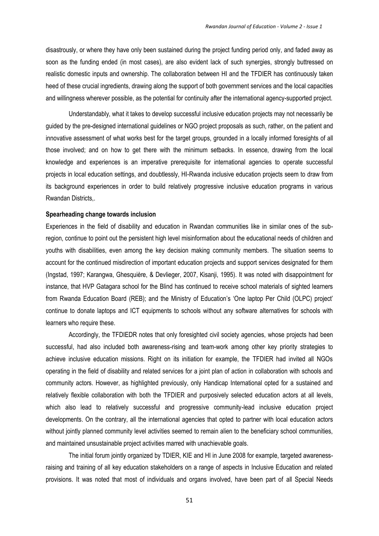disastrously, or where they have only been sustained during the project funding period only, and faded away as soon as the funding ended (in most cases), are also evident lack of such synergies, strongly buttressed on realistic domestic inputs and ownership. The collaboration between HI and the TFDIER has continuously taken heed of these crucial ingredients, drawing along the support of both government services and the local capacities and willingness wherever possible, as the potential for continuity after the international agency-supported project.

Understandably, what it takes to develop successful inclusive education projects may not necessarily be guided by the pre-designed international guidelines or NGO project proposals as such, rather, on the patient and innovative assessment of what works best for the target groups, grounded in a locally informed foresights of all those involved; and on how to get there with the minimum setbacks. In essence, drawing from the local knowledge and experiences is an imperative prerequisite for international agencies to operate successful projects in local education settings, and doubtlessly, HI-Rwanda inclusive education projects seem to draw from its background experiences in order to build relatively progressive inclusive education programs in various Rwandan Districts,.

#### **Spearheading change towards inclusion**

Experiences in the field of disability and education in Rwandan communities like in similar ones of the subregion, continue to point out the persistent high level misinformation about the educational needs of children and youths with disabilities, even among the key decision making community members. The situation seems to account for the continued misdirection of important education projects and support services designated for them (Ingstad, 1997; Karangwa, Ghesquière, & Devlieger, 2007, Kisanji, 1995). It was noted with disappointment for instance, that HVP Gatagara school for the Blind has continued to receive school materials of sighted learners from Rwanda Education Board (REB); and the Ministry of Education's 'One laptop Per Child (OLPC) project' continue to donate laptops and ICT equipments to schools without any software alternatives for schools with learners who require these.

Accordingly, the TFDIEDR notes that only foresighted civil society agencies, whose projects had been successful, had also included both awareness-rising and team-work among other key priority strategies to achieve inclusive education missions. Right on its initiation for example, the TFDIER had invited all NGOs operating in the field of disability and related services for a joint plan of action in collaboration with schools and community actors. However, as highlighted previously, only Handicap International opted for a sustained and relatively flexible collaboration with both the TFDIER and purposively selected education actors at all levels, which also lead to relatively successful and progressive community-lead inclusive education project developments. On the contrary, all the international agencies that opted to partner with local education actors without jointly planned community level activities seemed to remain alien to the beneficiary school communities, and maintained unsustainable project activities marred with unachievable goals.

The initial forum jointly organized by TDIER, KIE and HI in June 2008 for example, targeted awarenessraising and training of all key education stakeholders on a range of aspects in Inclusive Education and related provisions. It was noted that most of individuals and organs involved, have been part of all Special Needs

51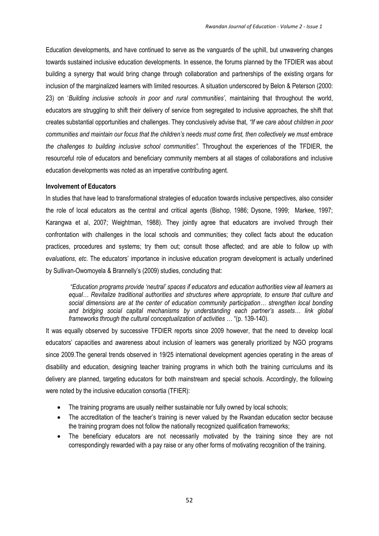Education developments, and have continued to serve as the vanguards of the uphill, but unwavering changes towards sustained inclusive education developments. In essence, the forums planned by the TFDIER was about building a synergy that would bring change through collaboration and partnerships of the existing organs for inclusion of the marginalized learners with limited resources. A situation underscored by Belon & Peterson (2000: 23) on '*Building inclusive schools in poor and rural communities'*, maintaining that throughout the world, educators are struggling to shift their delivery of service from segregated to inclusive approaches, the shift that creates substantial opportunities and challenges. They conclusively advise that, *"If we care about children in poor communities and maintain our focus that the children's needs must come first, then collectively we must embrace the challenges to building inclusive school communities".* Throughout the experiences of the TFDIER, the resourceful role of educators and beneficiary community members at all stages of collaborations and inclusive education developments was noted as an imperative contributing agent.

### **Involvement of Educators**

In studies that have lead to transformational strategies of education towards inclusive perspectives, also consider the role of local educators as the central and critical agents (Bishop, 1986; Dysone, 1999; Markee, 1997; Karangwa et al, 2007; Weightman, 1988). They jointly agree that educators are involved through their confrontation with challenges in the local schools and communities; they collect facts about the education practices, procedures and systems; try them out; consult those affected; and are able to follow up with *evaluations, etc*. The educators' importance in inclusive education program development is actually underlined by Sullivan-Owomoyela & Brannelly's (2009) studies, concluding that:

*"Education programs provide 'neutral' spaces if educators and education authorities view all learners as equal… Revitalize traditional authorities and structures where appropriate, to ensure that culture and social dimensions are at the center of education community participation… strengthen local bonding and bridging social capital mechanisms by understanding each partner's assets… link global frameworks through the cultural conceptualization of activities …* "(p. 139-140).

It was equally observed by successive TFDIER reports since 2009 however, that the need to develop local educators' capacities and awareness about inclusion of learners was generally prioritized by NGO programs since 2009.The general trends observed in 19/25 international development agencies operating in the areas of disability and education, designing teacher training programs in which both the training curriculums and its delivery are planned, targeting educators for both mainstream and special schools. Accordingly, the following were noted by the inclusive education consortia (TFIER):

- The training programs are usually neither sustainable nor fully owned by local schools;
- The accreditation of the teacher's training is never valued by the Rwandan education sector because the training program does not follow the nationally recognized qualification frameworks;
- The beneficiary educators are not necessarily motivated by the training since they are not correspondingly rewarded with a pay raise or any other forms of motivating recognition of the training.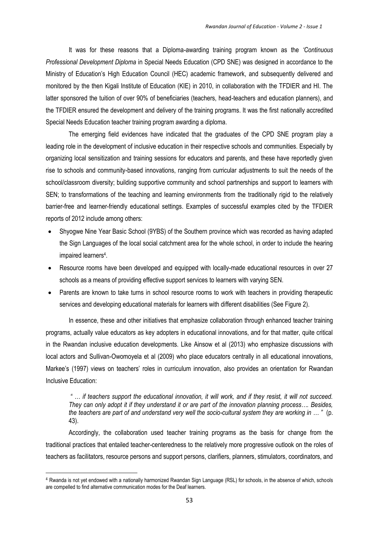It was for these reasons that a Diploma-awarding training program known as the *'Continuous Professional Development Diploma* in Special Needs Education (CPD SNE) was designed in accordance to the Ministry of Education's High Education Council (HEC) academic framework, and subsequently delivered and monitored by the then Kigali Institute of Education (KIE) in 2010, in collaboration with the TFDIER and HI. The latter sponsored the tuition of over 90% of beneficiaries (teachers, head-teachers and education planners), and the TFDIER ensured the development and delivery of the training programs. It was the first nationally accredited Special Needs Education teacher training program awarding a diploma.

The emerging field evidences have indicated that the graduates of the CPD SNE program play a leading role in the development of inclusive education in their respective schools and communities. Especially by organizing local sensitization and training sessions for educators and parents, and these have reportedly given rise to schools and community-based innovations, ranging from curricular adjustments to suit the needs of the school/classroom diversity; building supportive community and school partnerships and support to learners with SEN; to transformations of the teaching and learning environments from the traditionally rigid to the relatively barrier-free and learner-friendly educational settings. Examples of successful examples cited by the TFDIER reports of 2012 include among others:

- Shyogwe Nine Year Basic School (9YBS) of the Southern province which was recorded as having adapted the Sign Languages of the local social catchment area for the whole school, in order to include the hearing impaired learners<sup>4</sup>.
- Resource rooms have been developed and equipped with locally-made educational resources in over 27 schools as a means of providing effective support services to learners with varying SEN.
- Parents are known to take turns in school resource rooms to work with teachers in providing therapeutic services and developing educational materials for learners with different disabilities (See Figure 2).

In essence, these and other initiatives that emphasize collaboration through enhanced teacher training programs, actually value educators as key adopters in educational innovations, and for that matter, quite critical in the Rwandan inclusive education developments. Like Ainsow et al (2013) who emphasize discussions with local actors and Sullivan-Owomoyela et al (2009) who place educators centrally in all educational innovations, Markee's (1997) views on teachers' roles in curriculum innovation, also provides an orientation for Rwandan Inclusive Education:

*" … if teachers support the educational innovation, it will work, and if they resist, it will not succeed. They can only adopt it if they understand it or are part of the innovation planning process…. Besides, the teachers are part of and understand very well the socio-cultural system they are working in … "* (p. 43).

Accordingly, the collaboration used teacher training programs as the basis for change from the traditional practices that entailed teacher-centeredness to the relatively more progressive outlook on the roles of teachers as facilitators, resource persons and support persons, clarifiers, planners, stimulators, coordinators, and

 $\overline{a}$ 

<sup>4</sup> Rwanda is not yet endowed with a nationally harmonized Rwandan Sign Language (RSL) for schools, in the absence of which, schools are compelled to find alternative communication modes for the Deaf learners.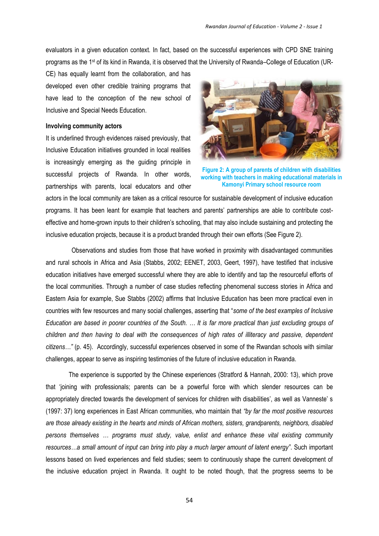evaluators in a given education context. In fact, based on the successful experiences with CPD SNE training programs as the 1st of its kind in Rwanda, it is observed that the University of Rwanda–College of Education (UR-

CE) has equally learnt from the collaboration, and has developed even other credible training programs that have lead to the conception of the new school of Inclusive and Special Needs Education.

### **Involving community actors**

It is underlined through evidences raised previously, that Inclusive Education initiatives grounded in local realities is increasingly emerging as the guiding principle in successful projects of Rwanda. In other words, partnerships with parents, local educators and other



**Figure 2: A group of parents of children with disabilities working with teachers in making educational materials in Kamonyi Primary school resource room**

actors in the local community are taken as a critical resource for sustainable development of inclusive education programs. It has been leant for example that teachers and parents' partnerships are able to contribute costeffective and home-grown inputs to their children's schooling, that may also include sustaining and protecting the inclusive education projects, because it is a product branded through their own efforts (See Figure 2).

Observations and studies from those that have worked in proximity with disadvantaged communities and rural schools in Africa and Asia (Stabbs, 2002; EENET, 2003, Geert, 1997), have testified that inclusive education initiatives have emerged successful where they are able to identify and tap the resourceful efforts of the local communities. Through a number of case studies reflecting phenomenal success stories in Africa and Eastern Asia for example, Sue Stabbs (2002) affirms that Inclusive Education has been more practical even in countries with few resources and many social challenges, asserting that "*some of the best examples of Inclusive Education are based in poorer countries of the South. … It is far more practical than just excluding groups of children and then having to deal with the consequences of high rates of illiteracy and passive, dependent citizens…"* (p. 45). Accordingly, successful experiences observed in some of the Rwandan schools with similar challenges, appear to serve as inspiring testimonies of the future of inclusive education in Rwanda.

The experience is supported by the Chinese experiences (Stratford & Hannah, 2000: 13), which prove that 'joining with professionals; parents can be a powerful force with which slender resources can be appropriately directed towards the development of services for children with disabilities', as well as Vanneste' s (1997: 37) long experiences in East African communities, who maintain that *"by far the most positive resources are those already existing in the hearts and minds of African mothers, sisters, grandparents, neighbors, disabled persons themselves … programs must study, value, enlist and enhance these vital existing community resources…a small amount of input can bring into play a much larger amount of latent energy"*. Such important lessons based on lived experiences and field studies; seem to continuously shape the current development of the inclusive education project in Rwanda. It ought to be noted though, that the progress seems to be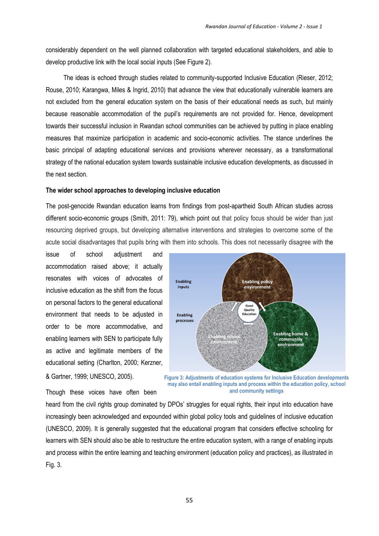considerably dependent on the well planned collaboration with targeted educational stakeholders, and able to develop productive link with the local social inputs (See Figure 2).

 The ideas is echoed through studies related to community-supported Inclusive Education (Rieser, 2012; Rouse, 2010; Karangwa, Miles & Ingrid, 2010) that advance the view that educationally vulnerable learners are not excluded from the general education system on the basis of their educational needs as such, but mainly because reasonable accommodation of the pupil's requirements are not provided for. Hence, development towards their successful inclusion in Rwandan school communities can be achieved by putting in place enabling measures that maximize participation in academic and socio-economic activities. The stance underlines the basic principal of adapting educational services and provisions wherever necessary, as a transformational strategy of the national education system towards sustainable inclusive education developments, as discussed in the next section.

#### **The wider school approaches to developing inclusive education**

The post-genocide Rwandan education learns from findings from post-apartheid South African studies across different socio-economic groups (Smith, 2011: 79), which point out that policy focus should be wider than just resourcing deprived groups, but developing alternative interventions and strategies to overcome some of the acute social disadvantages that pupils bring with them into schools. This does not necessarily disagree with the

issue of school adjustment and accommodation raised above; it actually resonates with voices of advocates of inclusive education as the shift from the focus on personal factors to the general educational environment that needs to be adjusted in order to be more accommodative, and enabling learners with SEN to participate fully as active and legitimate members of the educational setting (Charlton, 2000; Kerzner,



& Gartner, 1999; UNESCO, 2005).

**Figure 3: Adjustments of education systems for Inclusive Education developments may also entail enabling inputs and process within the education policy, school and community settings** 

Though these voices have often been

heard from the civil rights group dominated by DPOs' struggles for equal rights, their input into education have increasingly been acknowledged and expounded within global policy tools and guidelines of inclusive education (UNESCO, 2009). It is generally suggested that the educational program that considers effective schooling for learners with SEN should also be able to restructure the entire education system, with a range of enabling inputs and process within the entire learning and teaching environment (education policy and practices), as illustrated in Fig. 3.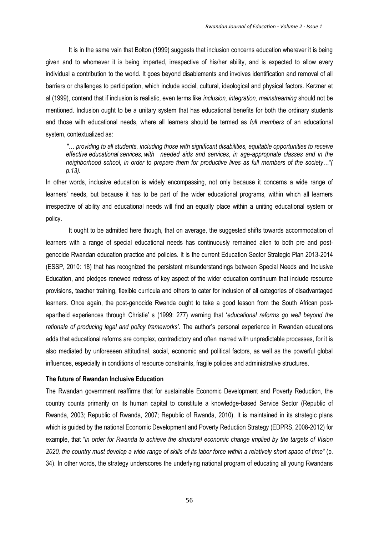It is in the same vain that Bolton (1999) suggests that inclusion concerns education wherever it is being given and to whomever it is being imparted, irrespective of his/her ability, and is expected to allow every individual a contribution to the world. It goes beyond disablements and involves identification and removal of all barriers or challenges to participation, which include social, cultural, ideological and physical factors. Kerzner et al (1999), contend that if inclusion is realistic, even terms like *inclusion, integration, mainstreaming* should not be mentioned. Inclusion ought to be a unitary system that has educational benefits for both the ordinary students and those with educational needs, where all learners should be termed as *full members* of an educational system, contextualized as:

 *"… providing to all students, including those with significant disabilities, equitable opportunities to receive effective educational services, with needed aids and services, in age-appropriate classes and in the neighborhood school, in order to prepare them for productive lives as full members of the society…"( p.13).*

In other words, inclusive education is widely encompassing, not only because it concerns a wide range of learners' needs, but because it has to be part of the wider educational programs, within which all learners irrespective of ability and educational needs will find an equally place within a uniting educational system or policy.

It ought to be admitted here though, that on average, the suggested shifts towards accommodation of learners with a range of special educational needs has continuously remained alien to both pre and postgenocide Rwandan education practice and policies. It is the current Education Sector Strategic Plan 2013-2014 (ESSP, 2010: 18) that has recognized the persistent misunderstandings between Special Needs and Inclusive Education, and pledges renewed redress of key aspect of the wider education continuum that include resource provisions, teacher training, flexible curricula and others to cater for inclusion of all categories of disadvantaged learners. Once again, the post-genocide Rwanda ought to take a good lesson from the South African postapartheid experiences through Christie' s (1999: 277) warning that '*educational reforms go well beyond the rationale of producing legal and policy frameworks'*. The author's personal experience in Rwandan educations adds that educational reforms are complex, contradictory and often marred with unpredictable processes, for it is also mediated by unforeseen attitudinal, social, economic and political factors, as well as the powerful global influences, especially in conditions of resource constraints, fragile policies and administrative structures.

# **The future of Rwandan Inclusive Education**

The Rwandan government reaffirms that for sustainable Economic Development and Poverty Reduction, the country counts primarily on its human capital to constitute a knowledge-based Service Sector (Republic of Rwanda, 2003; Republic of Rwanda, 2007; Republic of Rwanda, 2010). It is maintained in its strategic plans which is guided by the national Economic Development and Poverty Reduction Strategy (EDPRS, 2008-2012) for example, that "*in order for Rwanda to achieve the structural economic change implied by the targets of Vision 2020, the country must develop a wide range of skills of its labor force within a relatively short space of time"* (p. 34). In other words, the strategy underscores the underlying national program of educating all young Rwandans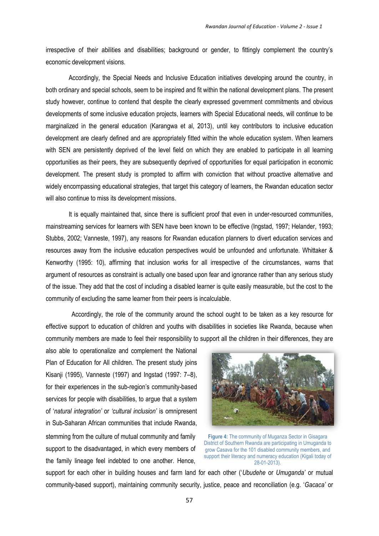irrespective of their abilities and disabilities; background or gender, to fittingly complement the country's economic development visions.

Accordingly, the Special Needs and Inclusive Education initiatives developing around the country, in both ordinary and special schools, seem to be inspired and fit within the national development plans. The present study however, continue to contend that despite the clearly expressed government commitments and obvious developments of some inclusive education projects, learners with Special Educational needs, will continue to be marginalized in the general education (Karangwa et al, 2013), until key contributors to inclusive education development are clearly defined and are appropriately fitted within the whole education system. When learners with SEN are persistently deprived of the level field on which they are enabled to participate in all learning opportunities as their peers, they are subsequently deprived of opportunities for equal participation in economic development. The present study is prompted to affirm with conviction that without proactive alternative and widely encompassing educational strategies, that target this category of learners, the Rwandan education sector will also continue to miss its development missions.

It is equally maintained that, since there is sufficient proof that even in under-resourced communities, mainstreaming services for learners with SEN have been known to be effective (Ingstad, 1997; Helander, 1993; Stubbs, 2002; Vanneste, 1997), any reasons for Rwandan education planners to divert education services and resources away from the inclusive education perspectives would be unfounded and unfortunate. Whittaker & Kenworthy (1995: 10), affirming that inclusion works for all irrespective of the circumstances, warns that argument of resources as constraint is actually one based upon fear and ignorance rather than any serious study of the issue. They add that the cost of including a disabled learner is quite easily measurable, but the cost to the community of excluding the same learner from their peers is incalculable.

Accordingly, the role of the community around the school ought to be taken as a key resource for effective support to education of children and youths with disabilities in societies like Rwanda, because when community members are made to feel their responsibility to support all the children in their differences, they are

also able to operationalize and complement the National Plan of Education for All children. The present study joins Kisanji (1995), Vanneste (1997) and Ingstad (1997: 7–8), for their experiences in the sub-region's community-based services for people with disabilities, to argue that a system of '*natural integration'* or *'cultural inclusion'* is omnipresent in Sub-Saharan African communities that include Rwanda, stemming from the culture of mutual community and family support to the disadvantaged, in which every members of the family lineage feel indebted to one another. Hence,



**Figure 4:** The community of Muganza Sector in Gisagara District of Southern Rwanda are participating in Umuganda to grow Casava for the 101 disabled community members, and support their literacy and numeracy education (Kigali today of 28-01-2013).

support for each other in building houses and farm land for each other ('*Ubudehe* or *Umuganda'* or mutual community-based support), maintaining community security, justice, peace and reconciliation (e.g. '*Gacaca'* or .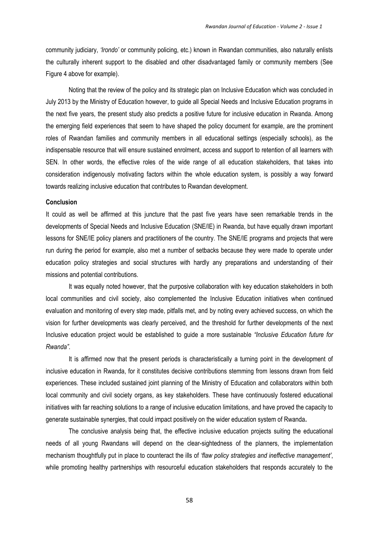community judiciary, *'Irondo'* or community policing, etc.) known in Rwandan communities, also naturally enlists the culturally inherent support to the disabled and other disadvantaged family or community members (See Figure 4 above for example).

Noting that the review of the policy and its strategic plan on Inclusive Education which was concluded in July 2013 by the Ministry of Education however, to guide all Special Needs and Inclusive Education programs in the next five years, the present study also predicts a positive future for inclusive education in Rwanda. Among the emerging field experiences that seem to have shaped the policy document for example, are the prominent roles of Rwandan families and community members in all educational settings (especially schools), as the indispensable resource that will ensure sustained enrolment, access and support to retention of all learners with SEN. In other words, the effective roles of the wide range of all education stakeholders, that takes into consideration indigenously motivating factors within the whole education system, is possibly a way forward towards realizing inclusive education that contributes to Rwandan development.

#### **Conclusion**

It could as well be affirmed at this juncture that the past five years have seen remarkable trends in the developments of Special Needs and Inclusive Education (SNE/IE) in Rwanda, but have equally drawn important lessons for SNE/IE policy planers and practitioners of the country. The SNE/IE programs and projects that were run during the period for example, also met a number of setbacks because they were made to operate under education policy strategies and social structures with hardly any preparations and understanding of their missions and potential contributions.

It was equally noted however, that the purposive collaboration with key education stakeholders in both local communities and civil society, also complemented the Inclusive Education initiatives when continued evaluation and monitoring of every step made, pitfalls met, and by noting every achieved success, on which the vision for further developments was clearly perceived, and the threshold for further developments of the next Inclusive education project would be established to guide a more sustainable *"Inclusive Education future for Rwanda"*.

It is affirmed now that the present periods is characteristically a turning point in the development of inclusive education in Rwanda, for it constitutes decisive contributions stemming from lessons drawn from field experiences. These included sustained joint planning of the Ministry of Education and collaborators within both local community and civil society organs, as key stakeholders. These have continuously fostered educational initiatives with far reaching solutions to a range of inclusive education limitations, and have proved the capacity to generate sustainable synergies, that could impact positively on the wider education system of Rwanda**.** 

The conclusive analysis being that, the effective inclusive education projects suiting the educational needs of all young Rwandans will depend on the clear-sightedness of the planners, the implementation mechanism thoughtfully put in place to counteract the ills of *'flaw policy strategies and ineffective management'*, while promoting healthy partnerships with resourceful education stakeholders that responds accurately to the

58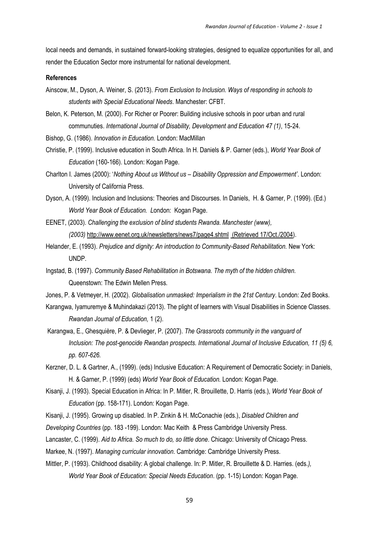local needs and demands, in sustained forward-looking strategies, designed to equalize opportunities for all, and render the Education Sector more instrumental for national development.

# **References**

- Ainscow, M., Dyson, A. Weiner, S. (2013). *From Exclusion to Inclusion. Ways of responding in schools to students with Special Educational Needs*. Manchester: CFBT.
- Belon, K. Peterson, M. (2000). For Richer or Poorer: Building inclusive schools in poor urban and rural communuties. *International Journal of Disability, Development and Education 47 (1)*, 15-24.
- Bishop, G. (1986). *Innovation in Education.* London: MacMillan
- Christie, P. (1999). Inclusive education in South Africa. In H. Daniels & P. Garner (eds.), *World Year Book of Education* (160-166). London: Kogan Page.
- Charlton I. James (2000): '*Nothing About us Without us – Disability Oppression and Empowerment'*. London: University of California Press.
- Dyson, A. (1999). Inclusion and Inclusions: Theories and Discourses. In Daniels, H. & Garner, P. (1999). (Ed.) *World Year Book of Education. L*ondon: Kogan Page.
- EENET, (2003). *Challenging the exclusion of blind students Rwanda. Manchester (www), (2003)* <http://www.eenet.org.uk/newsletters/news7/page4.shtml> [\(Retrieved 17/Oct./2004\)](http://www.ovids.ac.uk/ovidweb.ovidwed.cg.i.%20Retrieved%20on%2017/April/2004).
- Helander, E. (1993). *Prejudice and dignity: An introduction to Community-Based Rehabilitation.* New York: UNDP.
- Ingstad, B. (1997). *Community Based Rehabilitation in Botswana. The myth of the hidden children.*  Queenstown: The Edwin Mellen Press*.*
- Jones, P. & Vetmeyer, H. (2002). *Globalisation unmasked: Imperialism in the 21st Century*. London: Zed Books.
- Karangwa, Iyamuremye & Muhindakazi (2013). The plight of learners with Visual Disabilities in Science Classes. *Rwandan Journal of Education,* 1 (2).
- Karangwa, E., Ghesquière, P. & Devlieger, P. (2007). *The Grassroots community in the vanguard of Inclusion: The post-genocide Rwandan prospects. International Journal of Inclusive Education, 11 (5) 6, pp. 607-626.*
- Kerzner, D. L. & Gartner, A., (1999). (eds) Inclusive Education: A Requirement of Democratic Society: in Daniels, H. & Garner, P. (1999) (eds) *World Year Book of Education.* London: Kogan Page.
- Kisanji, J. (1993). Special Education in Africa: In P. Mitler, R. Brouillette, D. Harris (eds.), *World Year Book of Education* (pp. 158-171). London: Kogan Page.
- Kisanji, J. (1995). Growing up disabled. In P. Zinkin & H. McConachie (eds.), *Disabled Children and*
- *Developing Countries* (pp. 183 -199). London: Mac Keith & Press Cambridge University Press.
- Lancaster, C. (1999). *Aid to Africa. So much to do, so little done*. Chicago: University of Chicago Press.
- Markee, N. (1997). *Managing curricular innovation*. Cambridge: Cambridge University Press.
- Mittler, P. (1993). Childhood disability: A global challenge. In: P. Mitler, R. Brouillette & D. Harries. (eds.*), World Year Book of Education: Special Needs Education*. (pp. 1-15) London: Kogan Page.